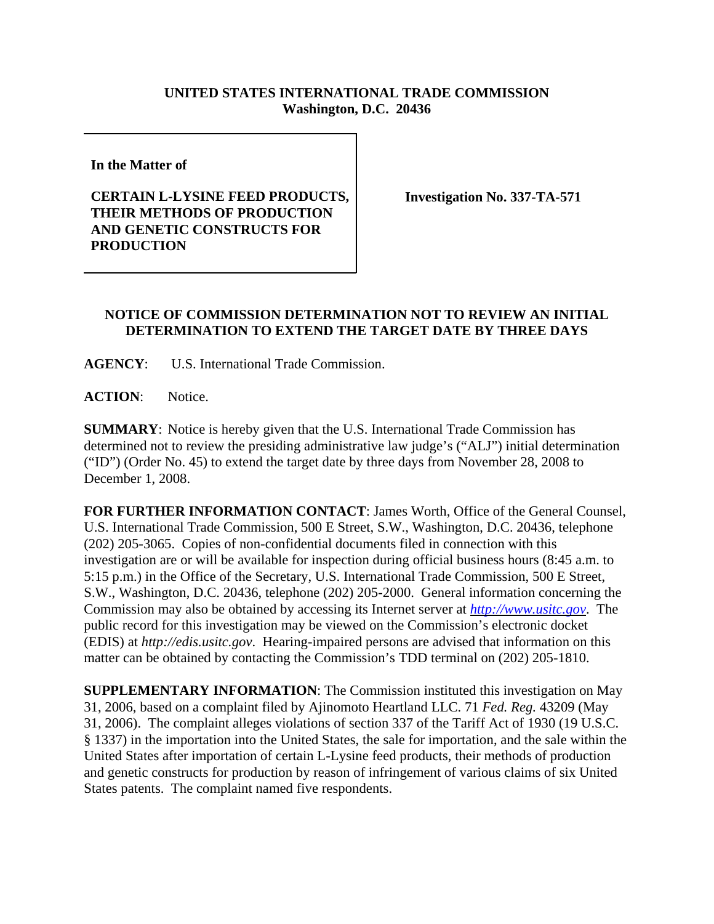## **UNITED STATES INTERNATIONAL TRADE COMMISSION Washington, D.C. 20436**

**In the Matter of** 

## **CERTAIN L-LYSINE FEED PRODUCTS, THEIR METHODS OF PRODUCTION AND GENETIC CONSTRUCTS FOR PRODUCTION**

**Investigation No. 337-TA-571**

## **NOTICE OF COMMISSION DETERMINATION NOT TO REVIEW AN INITIAL DETERMINATION TO EXTEND THE TARGET DATE BY THREE DAYS**

**AGENCY**: U.S. International Trade Commission.

ACTION: Notice.

**SUMMARY**: Notice is hereby given that the U.S. International Trade Commission has determined not to review the presiding administrative law judge's ("ALJ") initial determination ("ID") (Order No. 45) to extend the target date by three days from November 28, 2008 to December 1, 2008.

**FOR FURTHER INFORMATION CONTACT**: James Worth, Office of the General Counsel, U.S. International Trade Commission, 500 E Street, S.W., Washington, D.C. 20436, telephone (202) 205-3065. Copies of non-confidential documents filed in connection with this investigation are or will be available for inspection during official business hours (8:45 a.m. to 5:15 p.m.) in the Office of the Secretary, U.S. International Trade Commission, 500 E Street, S.W., Washington, D.C. 20436, telephone (202) 205-2000. General information concerning the Commission may also be obtained by accessing its Internet server at *http://www.usitc.gov*. The public record for this investigation may be viewed on the Commission's electronic docket (EDIS) at *http://edis.usitc.gov*. Hearing-impaired persons are advised that information on this matter can be obtained by contacting the Commission's TDD terminal on (202) 205-1810.

**SUPPLEMENTARY INFORMATION**: The Commission instituted this investigation on May 31, 2006, based on a complaint filed by Ajinomoto Heartland LLC. 71 *Fed. Reg.* 43209 (May 31, 2006). The complaint alleges violations of section 337 of the Tariff Act of 1930 (19 U.S.C. § 1337) in the importation into the United States, the sale for importation, and the sale within the United States after importation of certain L-Lysine feed products, their methods of production and genetic constructs for production by reason of infringement of various claims of six United States patents. The complaint named five respondents.